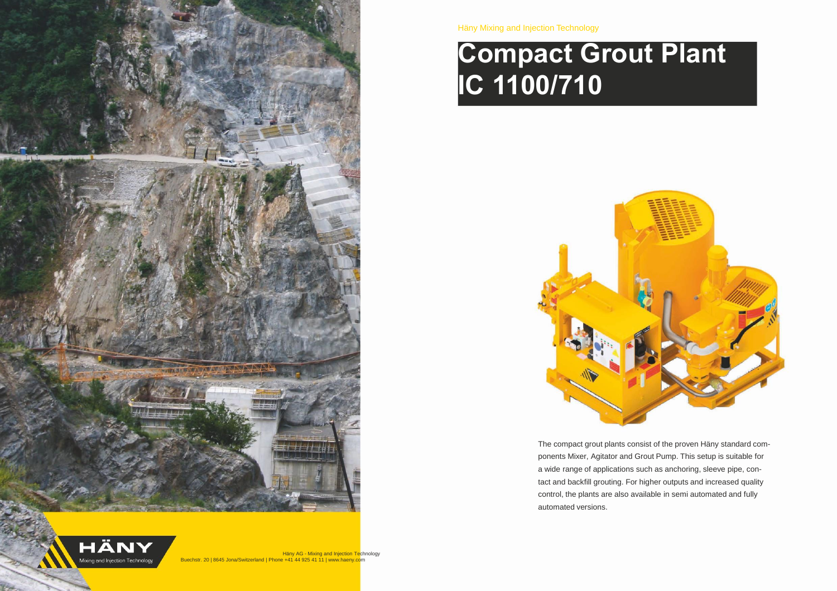Häny Mixing and Injection Technology

# **Compact Grout Plant IC 1100/710**



The compact grout plants consist of the proven Häny standard components Mixer, Agitator and Grout Pump. This setup is suitable for a wide range of applications such as anchoring, sleeve pipe, contact and backfill grouting. For higher outputs and increased quality control, the plants are also available in semi automated and fully





**Häny AG - Mixing and Injection Technology** Buechstr. 20 | 8645 Jona/Switzerland | Phone +41 44 925 41 11 | www.haeny.com

automated versions.